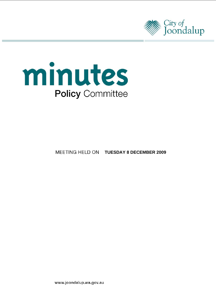



# **MEETING HELD ON TUESDAY 8 DECEMBER 2009**

www.joondalup.wa.gov.au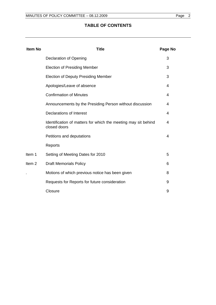# **TABLE OF CONTENTS**

| <b>Item No</b>    | <b>Title</b>                                                                   | Page No        |
|-------------------|--------------------------------------------------------------------------------|----------------|
|                   | <b>Declaration of Opening</b>                                                  | 3              |
|                   | <b>Election of Presiding Member</b>                                            | 3              |
|                   | <b>Election of Deputy Presiding Member</b>                                     | 3              |
|                   | Apologies/Leave of absence                                                     | 4              |
|                   | <b>Confirmation of Minutes</b>                                                 | $\overline{4}$ |
|                   | Announcements by the Presiding Person without discussion                       | 4              |
|                   | <b>Declarations of Interest</b>                                                | 4              |
|                   | Identification of matters for which the meeting may sit behind<br>closed doors | 4              |
|                   | Petitions and deputations                                                      | 4              |
|                   | Reports                                                                        |                |
| Item 1            | Setting of Meeting Dates for 2010                                              | 5              |
| Item <sub>2</sub> | <b>Draft Memorials Policy</b>                                                  | 6              |
|                   | Motions of which previous notice has been given                                | 8              |
|                   | Requests for Reports for future consideration                                  | 9              |
|                   | Closure                                                                        | 9              |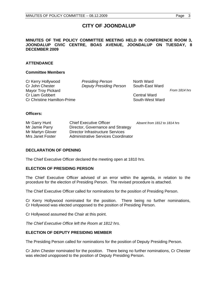# **CITY OF JOONDALUP**

#### **MINUTES OF THE POLICY COMMITTEE MEETING HELD IN CONFERENCE ROOM 3, JOONDALUP CIVIC CENTRE, BOAS AVENUE, JOONDALUP ON TUESDAY, 8 DECEMBER 2009**

#### **ATTENDANCE**

#### **Committee Members**

Cr Kerry Hollywood *Presiding Person* North Ward Cr John Chester *Deputy Presiding Person* South-East Ward Mayor Troy Pickard **From 1814 hrs From 1814 hrs From 1814** hrs **From 1814** hrs **From 1814** hrs **From 1814** hrs **From 1814** hrs **From 1814** hrs **From 1814** hrs **From 1814** hrs **From 1814** hrs **From 1814** hrs **From 1814** Cr Liam Gobbert Central Ward Cr Christine Hamilton-Prime South-West Ward

#### **Officers:**

| Mr Garry Hunt    | <b>Chief Executive Officer</b>      | Absent from 1812 to 1814 hrs |
|------------------|-------------------------------------|------------------------------|
| Mr Jamie Parry   | Director, Governance and Strategy   |                              |
| Mr Martyn Glover | Director Infrastructure Services    |                              |
| Mrs Janet Foster | Administrative Services Coordinator |                              |

# **DECLARATION OF OPENING**

The Chief Executive Officer declared the meeting open at 1810 hrs.

#### **ELECTION OF PRESIDING PERSON**

The Chief Executive Officer advised of an error within the agenda, in relation to the procedure for the election of Presiding Person. The revised procedure is attached.

The Chief Executive Officer called for nominations for the position of Presiding Person.

Cr Kerry Hollywood nominated for the position. There being no further nominations, Cr Hollywood was elected unopposed to the position of Presiding Person.

Cr Hollywood assumed the Chair at this point.

*The Chief Executive Office left the Room at 1812 hrs.* 

# **ELECTION OF DEPUTY PRESIDING MEMBER**

The Presiding Person called for nominations for the position of Deputy Presiding Person.

Cr John Chester nominated for the position. There being no further nominations, Cr Chester was elected unopposed to the position of Deputy Presiding Person.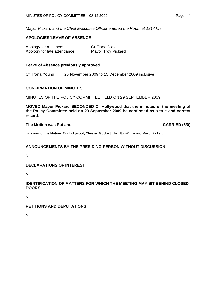*Mayor Pickard and the Chief Executive Officer entered the Room at 1814 hrs.* 

# **APOLOGIES/LEAVE OF ABSENCE**

| Apology for absence:         | Cr Fiona Diaz      |
|------------------------------|--------------------|
| Apology for late attendance: | Mayor Troy Pickard |

#### **Leave of Absence previously approved**

Cr Trona Young 26 November 2009 to 15 December 2009 inclusive

#### **CONFIRMATION OF MINUTES**

#### MINUTES OF THE POLICY COMMITTEE HELD ON 29 SEPTEMBER 2009

**MOVED Mayor Pickard SECONDED Cr Hollywood that the minutes of the meeting of the Policy Committee held on 29 September 2009 be confirmed as a true and correct record.** 

#### **The Motion was Put and CARRIED (5/0)**

**In favour of the Motion:** Crs Hollywood, Chester, Gobbert, Hamilton-Prime and Mayor Pickard

# **ANNOUNCEMENTS BY THE PRESIDING PERSON WITHOUT DISCUSSION**

Nil

#### **DECLARATIONS OF INTEREST**

Nil

# **IDENTIFICATION OF MATTERS FOR WHICH THE MEETING MAY SIT BEHIND CLOSED DOORS**

Nil

#### **PETITIONS AND DEPUTATIONS**

Nil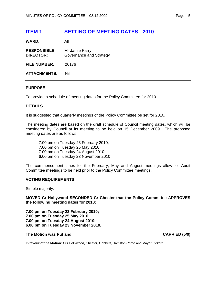# **ITEM 1 SETTING OF MEETING DATES - 2010**

**WARD:** All

| <b>RESPONSIBLE</b><br><b>DIRECTOR:</b> | Mr Jamie Parry<br>Governance and Strategy |
|----------------------------------------|-------------------------------------------|
| <b>FILE NUMBER:</b>                    | 26176                                     |
| <b>ATTACHMENTS:</b>                    | Nil                                       |

#### **PURPOSE**

To provide a schedule of meeting dates for the Policy Committee for 2010.

# **DETAILS**

It is suggested that quarterly meetings of the Policy Committee be set for 2010.

The meeting dates are based on the draft schedule of Council meeting dates, which will be considered by Council at its meeting to be held on 15 December 2009. The proposed meeting dates are as follows:

7.00 pm on Tuesday 23 February 2010; 7.00 pm on Tuesday 25 May 2010; 7.00 pm on Tuesday 24 August 2010; 6.00 pm on Tuesday 23 November 2010.

The commencement times for the February, May and August meetings allow for Audit Committee meetings to be held prior to the Policy Committee meetings.

#### **VOTING REQUIREMENTS**

Simple majority.

**MOVED Cr Hollywood SECONDED Cr Chester that the Policy Committee APPROVES the following meeting dates for 2010:** 

**7.00 pm on Tuesday 23 February 2010; 7.00 pm on Tuesday 25 May 2010; 7.00 pm on Tuesday 24 August 2010; 6.00 pm on Tuesday 23 November 2010.** 

#### The Motion was Put and **CARRIED** (5/0)

**In favour of the Motion:** Crs Hollywood, Chester, Gobbert, Hamilton-Prime and Mayor Pickard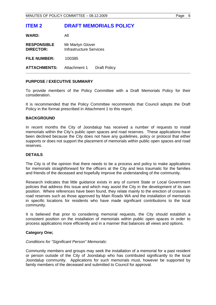# **ITEM 2 DRAFT MEMORIALS POLICY**

**WARD:** All

| <b>RESPONSIBLE</b>  | Mr Martyn Glover               |
|---------------------|--------------------------------|
| <b>DIRECTOR:</b>    | <b>Infrastructure Services</b> |
| <b>FILE NUMBER:</b> | 100385                         |

**ATTACHMENTS:** Attachment 1 Draft Policy

# **PURPOSE / EXECUTIVE SUMMARY**

To provide members of the Policy Committee with a Draft Memorials Policy for their consideration.

It is recommended that the Policy Committee recommends that Council adopts the Draft Policy in the format prescribed in Attachment 1 to this report.

# **BACKGROUND**

In recent months the City of Joondalup has received a number of requests to install memorials within the City's public open spaces and road reserves. These applications have been declined because the City does not have any guidelines, policy or protocol that either supports or does not support the placement of memorials within public open spaces and road reserves.

# **DETAILS**

The City is of the opinion that there needs to be a process and policy to make applications for memorials straightforward for the officers at the City and less traumatic for the families and friends of the deceased and hopefully improve the understanding of the community.

Research indicates that little guidance exists in any of current State or Local Government policies that address this issue and which may assist the City in the development of its own position. Where references have been found, they relate mainly to the erection of crosses in road reserves such as those approved by Main Roads WA and the installation of memorials in specific locations for residents who have made significant contributions to the local community.

It is believed that prior to considering memorial requests, the City should establish a consistent position on the installation of memorials within public open spaces in order to process applications more efficiently and in a manner that balances all views and options.

# **Category One;**

# *Conditions for "Significant Person" Memorials:*

Community members and groups may seek the installation of a memorial for a past resident or person outside of the City of Joondalup who has contributed significantly to the local Joondalup community. Applications for such memorials must, however be supported by family members of the deceased and submitted to Council for approval.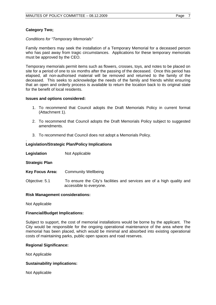# **Category Two;**

#### *Conditions for "Temporary Memorials"*

Family members may seek the installation of a Temporary Memorial for a deceased person who has past away from tragic circumstances. Applications for these temporary memorials must be approved by the CEO.

Temporary memorials permit items such as flowers, crosses, toys, and notes to be placed on site for a period of one to six months after the passing of the deceased. Once this period has elapsed, all non-authorised material will be removed and returned to the family of the deceased. This seeks to acknowledge the needs of the family and friends whilst ensuring that an open and orderly process is available to return the location back to its original state for the benefit of local residents.

#### **Issues and options considered:**

- 1. To recommend that Council adopts the Draft Memorials Policy in current format (Attachment 1).
- 2. To recommend that Council adopts the Draft Memorials Policy subject to suggested amendments.
- 3. To recommend that Council does not adopt a Memorials Policy.

#### **Legislation/Strategic Plan/Policy Implications**

| Legislation | Not Applicable |
|-------------|----------------|
|-------------|----------------|

#### **Strategic Plan**

.

- **Key Focus Area:** Community Wellbeing
- Objective: 5.1 To ensure the City's facilities and services are of a high quality and accessible to everyone.

#### **Risk Management considerations:**

Not Applicable

#### **Financial/Budget Implications:**

Subject to support, the cost of memorial installations would be borne by the applicant. The City would be responsible for the ongoing operational maintenance of the area where the memorial has been placed, which would be minimal and absorbed into existing operational costs of maintaining parks, public open spaces and road reserves.

#### **Regional Significance:**

Not Applicable

#### **Sustainability implications:**

Not Applicable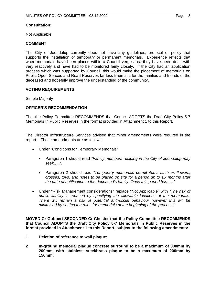# **Consultation:**

Not Applicable

#### **COMMENT**

The City of Joondalup currently does not have any guidelines, protocol or policy that supports the installation of temporary or permanent memorials. Experience reflects that when memorials have been placed within a Council verge area they have been dealt with very reactively and have had to be monitored fairly closely. If the City had an application process which was supported by Council, this would make the placement of memorials on Public Open Spaces and Road Reserves far less traumatic for the families and friends of the deceased and hopefully improve the understanding of the community.

#### **VOTING REQUIREMENTS**

Simple Majority

# **OFFICER'S RECOMMENDATION**

That the Policy Committee RECOMMENDS that Council ADOPTS the Draft City Policy 5-7 Memorials In Public Reserves in the format provided in Attachment 1 to this Report.

The Director Infrastructure Services advised that minor amendments were required in the report. These amendments are as follows:

- Under "Conditions for Temporary Memorials"
	- Paragraph 1 should read *"Family members residing in the City of Joondalup may seek…..".*
	- Paragraph 2 should read *"Temporary memorials permit items such as flowers, crosses, toys, and notes to be placed on site for a period up to six months after the date of notification to the deceased's family. Once this period has….."*
- Under "Risk Management considerations" replace "Not Applicable" with *"The risk of public liability is reduced by specifying the allowable locations of the memorials. There will remain a risk of potential anti-social behaviour however this will be minimised by setting the rules for memorials at the beginning of the process."*

**MOVED Cr Gobbert SECONDED Cr Chester that the Policy Committee RECOMMENDS that Council ADOPTS the Draft City Policy 5-7 Memorials In Public Reserves in the format provided in Attachment 1 to this Report, subject to the following amendments:** 

- **1 Deletion of reference to wall plaque;**
- **2 In-ground memorial plaque concrete surround to be a maximum of 300mm by 200mm, with stainless steel/brass plaque to be a maximum of 200mm by 150mm;**